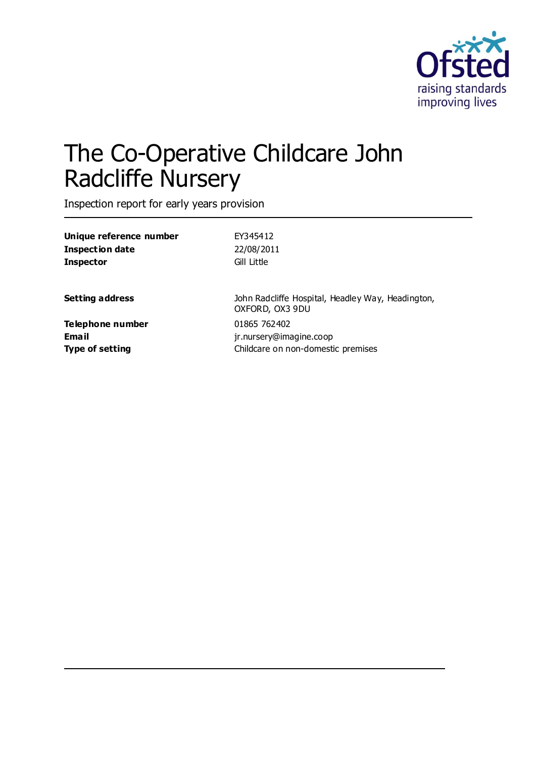

# The Co-Operative Childcare John Radcliffe Nursery

Inspection report for early years provision

| Unique reference number<br>Inspection date<br>Inspector | EY345412<br>22/08/2011<br>Gill Little                                |
|---------------------------------------------------------|----------------------------------------------------------------------|
| Setting address                                         | John Radcliffe Hospital, Headley Way, Headington,<br>OXFORD, OX3 9DU |
| Telephone number                                        | 01865 762402                                                         |
| Email                                                   | jr.nursery@imagine.coop                                              |
| Type of setting                                         | Childcare on non-domestic premises                                   |
|                                                         |                                                                      |
|                                                         |                                                                      |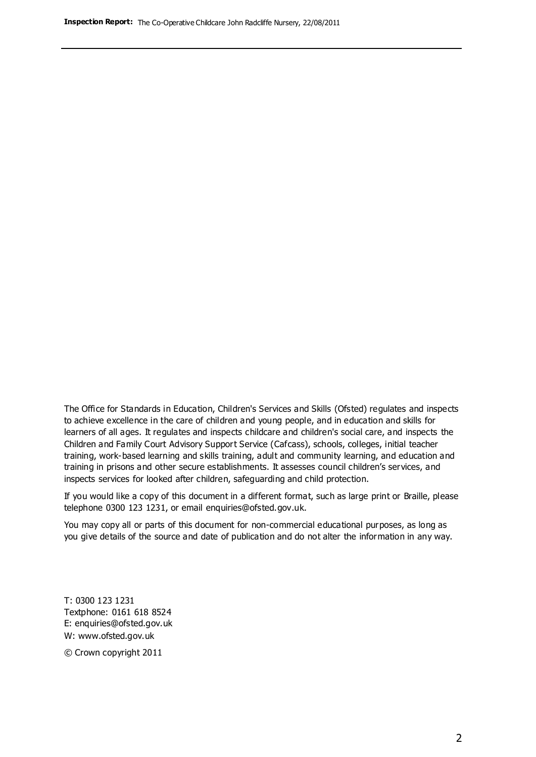The Office for Standards in Education, Children's Services and Skills (Ofsted) regulates and inspects to achieve excellence in the care of children and young people, and in education and skills for learners of all ages. It regulates and inspects childcare and children's social care, and inspects the Children and Family Court Advisory Support Service (Cafcass), schools, colleges, initial teacher training, work-based learning and skills training, adult and community learning, and education and training in prisons and other secure establishments. It assesses council children's services, and inspects services for looked after children, safeguarding and child protection.

If you would like a copy of this document in a different format, such as large print or Braille, please telephone 0300 123 1231, or email enquiries@ofsted.gov.uk.

You may copy all or parts of this document for non-commercial educational purposes, as long as you give details of the source and date of publication and do not alter the information in any way.

T: 0300 123 1231 Textphone: 0161 618 8524 E: enquiries@ofsted.gov.uk W: [www.ofsted.gov.uk](http://www.ofsted.gov.uk/)

© Crown copyright 2011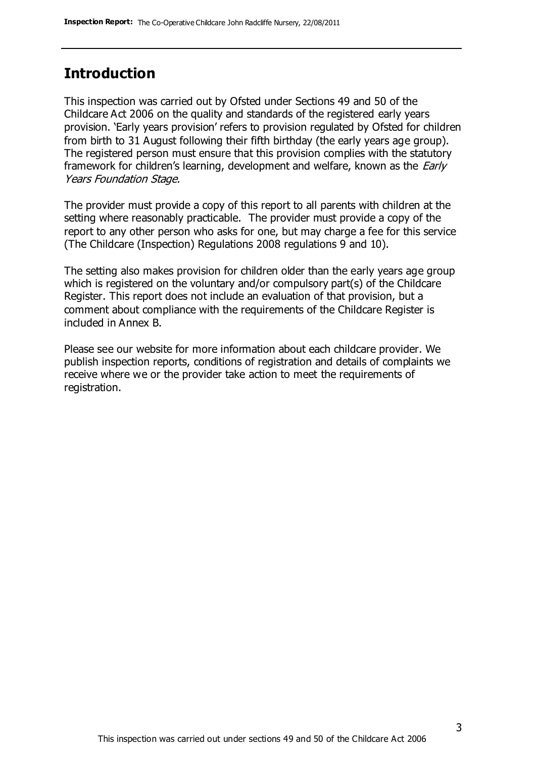#### **Introduction**

This inspection was carried out by Ofsted under Sections 49 and 50 of the Childcare Act 2006 on the quality and standards of the registered early years provision. 'Early years provision' refers to provision regulated by Ofsted for children from birth to 31 August following their fifth birthday (the early years age group). The registered person must ensure that this provision complies with the statutory framework for children's learning, development and welfare, known as the *Early* Years Foundation Stage.

The provider must provide a copy of this report to all parents with children at the setting where reasonably practicable. The provider must provide a copy of the report to any other person who asks for one, but may charge a fee for this service (The Childcare (Inspection) Regulations 2008 regulations 9 and 10).

The setting also makes provision for children older than the early years age group which is registered on the voluntary and/or compulsory part(s) of the Childcare Register. This report does not include an evaluation of that provision, but a comment about compliance with the requirements of the Childcare Register is included in Annex B.

Please see our website for more information about each childcare provider. We publish inspection reports, conditions of registration and details of complaints we receive where we or the provider take action to meet the requirements of registration.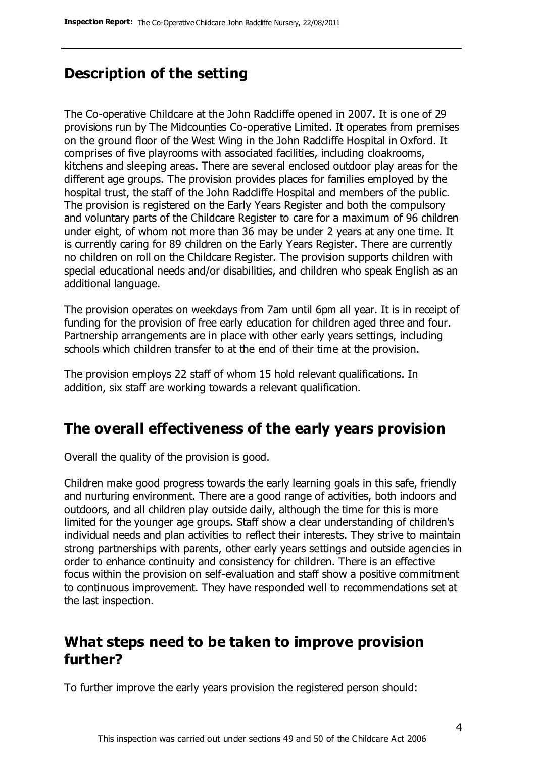## **Description of the setting**

The Co-operative Childcare at the John Radcliffe opened in 2007. It is one of 29 provisions run by The Midcounties Co-operative Limited. It operates from premises on the ground floor of the West Wing in the John Radcliffe Hospital in Oxford. It comprises of five playrooms with associated facilities, including cloakrooms, kitchens and sleeping areas. There are several enclosed outdoor play areas for the different age groups. The provision provides places for families employed by the hospital trust, the staff of the John Radcliffe Hospital and members of the public. The provision is registered on the Early Years Register and both the compulsory and voluntary parts of the Childcare Register to care for a maximum of 96 children under eight, of whom not more than 36 may be under 2 years at any one time. It is currently caring for 89 children on the Early Years Register. There are currently no children on roll on the Childcare Register. The provision supports children with special educational needs and/or disabilities, and children who speak English as an additional language.

The provision operates on weekdays from 7am until 6pm all year. It is in receipt of funding for the provision of free early education for children aged three and four. Partnership arrangements are in place with other early years settings, including schools which children transfer to at the end of their time at the provision.

The provision employs 22 staff of whom 15 hold relevant qualifications. In addition, six staff are working towards a relevant qualification.

## **The overall effectiveness of the early years provision**

Overall the quality of the provision is good.

Children make good progress towards the early learning goals in this safe, friendly and nurturing environment. There are a good range of activities, both indoors and outdoors, and all children play outside daily, although the time for this is more limited for the younger age groups. Staff show a clear understanding of children's individual needs and plan activities to reflect their interests. They strive to maintain strong partnerships with parents, other early years settings and outside agencies in order to enhance continuity and consistency for children. There is an effective focus within the provision on self-evaluation and staff show a positive commitment to continuous improvement. They have responded well to recommendations set at the last inspection.

#### **What steps need to be taken to improve provision further?**

To further improve the early years provision the registered person should: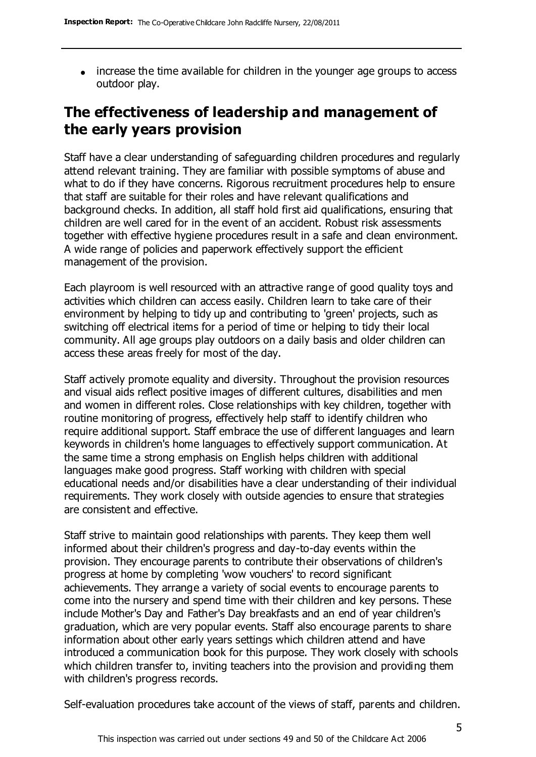• increase the time available for children in the younger age groups to access outdoor play.

# **The effectiveness of leadership and management of the early years provision**

Staff have a clear understanding of safeguarding children procedures and regularly attend relevant training. They are familiar with possible symptoms of abuse and what to do if they have concerns. Rigorous recruitment procedures help to ensure that staff are suitable for their roles and have relevant qualifications and background checks. In addition, all staff hold first aid qualifications, ensuring that children are well cared for in the event of an accident. Robust risk assessments together with effective hygiene procedures result in a safe and clean environment. A wide range of policies and paperwork effectively support the efficient management of the provision.

Each playroom is well resourced with an attractive range of good quality toys and activities which children can access easily. Children learn to take care of their environment by helping to tidy up and contributing to 'green' projects, such as switching off electrical items for a period of time or helping to tidy their local community. All age groups play outdoors on a daily basis and older children can access these areas freely for most of the day.

Staff actively promote equality and diversity. Throughout the provision resources and visual aids reflect positive images of different cultures, disabilities and men and women in different roles. Close relationships with key children, together with routine monitoring of progress, effectively help staff to identify children who require additional support. Staff embrace the use of different languages and learn keywords in children's home languages to effectively support communication. At the same time a strong emphasis on English helps children with additional languages make good progress. Staff working with children with special educational needs and/or disabilities have a clear understanding of their individual requirements. They work closely with outside agencies to ensure that strategies are consistent and effective.

Staff strive to maintain good relationships with parents. They keep them well informed about their children's progress and day-to-day events within the provision. They encourage parents to contribute their observations of children's progress at home by completing 'wow vouchers' to record significant achievements. They arrange a variety of social events to encourage parents to come into the nursery and spend time with their children and key persons. These include Mother's Day and Father's Day breakfasts and an end of year children's graduation, which are very popular events. Staff also encourage parents to share information about other early years settings which children attend and have introduced a communication book for this purpose. They work closely with schools which children transfer to, inviting teachers into the provision and providing them with children's progress records.

Self-evaluation procedures take account of the views of staff, parents and children.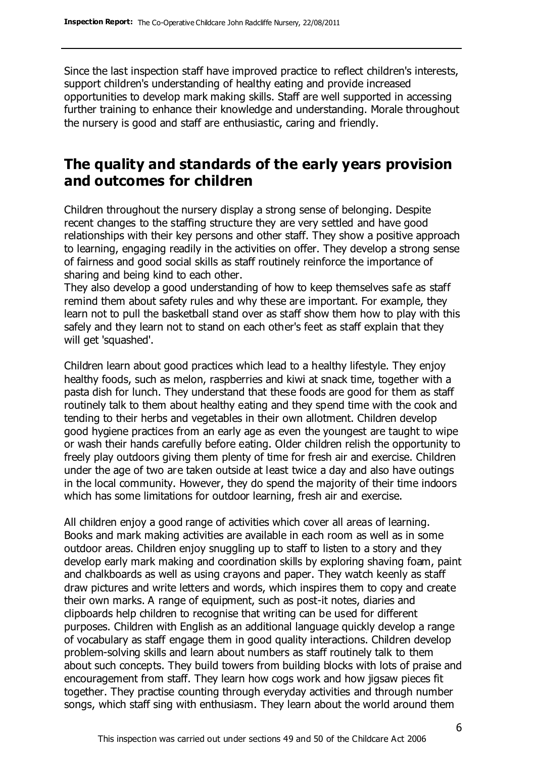Since the last inspection staff have improved practice to reflect children's interests, support children's understanding of healthy eating and provide increased opportunities to develop mark making skills. Staff are well supported in accessing further training to enhance their knowledge and understanding. Morale throughout the nursery is good and staff are enthusiastic, caring and friendly.

#### **The quality and standards of the early years provision and outcomes for children**

Children throughout the nursery display a strong sense of belonging. Despite recent changes to the staffing structure they are very settled and have good relationships with their key persons and other staff. They show a positive approach to learning, engaging readily in the activities on offer. They develop a strong sense of fairness and good social skills as staff routinely reinforce the importance of sharing and being kind to each other.

They also develop a good understanding of how to keep themselves safe as staff remind them about safety rules and why these are important. For example, they learn not to pull the basketball stand over as staff show them how to play with this safely and they learn not to stand on each other's feet as staff explain that they will get 'squashed'.

Children learn about good practices which lead to a healthy lifestyle. They enjoy healthy foods, such as melon, raspberries and kiwi at snack time, together with a pasta dish for lunch. They understand that these foods are good for them as staff routinely talk to them about healthy eating and they spend time with the cook and tending to their herbs and vegetables in their own allotment. Children develop good hygiene practices from an early age as even the youngest are taught to wipe or wash their hands carefully before eating. Older children relish the opportunity to freely play outdoors giving them plenty of time for fresh air and exercise. Children under the age of two are taken outside at least twice a day and also have outings in the local community. However, they do spend the majority of their time indoors which has some limitations for outdoor learning, fresh air and exercise.

All children enjoy a good range of activities which cover all areas of learning. Books and mark making activities are available in each room as well as in some outdoor areas. Children enjoy snuggling up to staff to listen to a story and they develop early mark making and coordination skills by exploring shaving foam, paint and chalkboards as well as using crayons and paper. They watch keenly as staff draw pictures and write letters and words, which inspires them to copy and create their own marks. A range of equipment, such as post-it notes, diaries and clipboards help children to recognise that writing can be used for different purposes. Children with English as an additional language quickly develop a range of vocabulary as staff engage them in good quality interactions. Children develop problem-solving skills and learn about numbers as staff routinely talk to them about such concepts. They build towers from building blocks with lots of praise and encouragement from staff. They learn how cogs work and how jigsaw pieces fit together. They practise counting through everyday activities and through number songs, which staff sing with enthusiasm. They learn about the world around them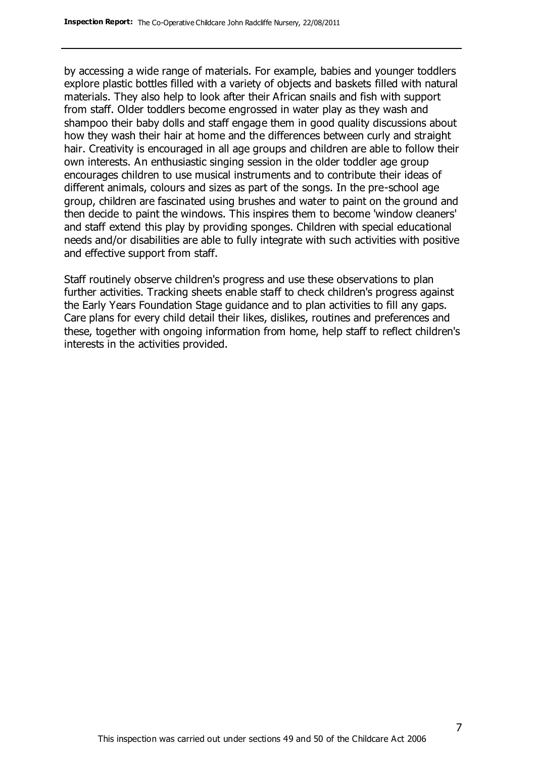by accessing a wide range of materials. For example, babies and younger toddlers explore plastic bottles filled with a variety of objects and baskets filled with natural materials. They also help to look after their African snails and fish with support from staff. Older toddlers become engrossed in water play as they wash and shampoo their baby dolls and staff engage them in good quality discussions about how they wash their hair at home and the differences between curly and straight hair. Creativity is encouraged in all age groups and children are able to follow their own interests. An enthusiastic singing session in the older toddler age group encourages children to use musical instruments and to contribute their ideas of different animals, colours and sizes as part of the songs. In the pre-school age group, children are fascinated using brushes and water to paint on the ground and then decide to paint the windows. This inspires them to become 'window cleaners' and staff extend this play by providing sponges. Children with special educational needs and/or disabilities are able to fully integrate with such activities with positive and effective support from staff.

Staff routinely observe children's progress and use these observations to plan further activities. Tracking sheets enable staff to check children's progress against the Early Years Foundation Stage guidance and to plan activities to fill any gaps. Care plans for every child detail their likes, dislikes, routines and preferences and these, together with ongoing information from home, help staff to reflect children's interests in the activities provided.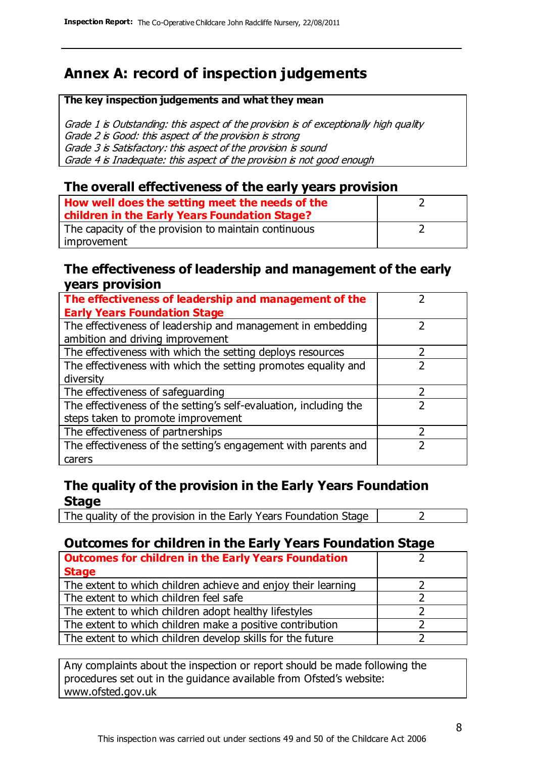# **Annex A: record of inspection judgements**

#### **The key inspection judgements and what they mean**

Grade 1 is Outstanding: this aspect of the provision is of exceptionally high quality Grade 2 is Good: this aspect of the provision is strong Grade 3 is Satisfactory: this aspect of the provision is sound Grade 4 is Inadequate: this aspect of the provision is not good enough

#### **The overall effectiveness of the early years provision**

| How well does the setting meet the needs of the<br>children in the Early Years Foundation Stage? |  |
|--------------------------------------------------------------------------------------------------|--|
| The capacity of the provision to maintain continuous                                             |  |
| improvement                                                                                      |  |

#### **The effectiveness of leadership and management of the early years provision**

| The effectiveness of leadership and management of the             |  |
|-------------------------------------------------------------------|--|
| <b>Early Years Foundation Stage</b>                               |  |
| The effectiveness of leadership and management in embedding       |  |
| ambition and driving improvement                                  |  |
| The effectiveness with which the setting deploys resources        |  |
| The effectiveness with which the setting promotes equality and    |  |
| diversity                                                         |  |
| The effectiveness of safeguarding                                 |  |
| The effectiveness of the setting's self-evaluation, including the |  |
| steps taken to promote improvement                                |  |
| The effectiveness of partnerships                                 |  |
| The effectiveness of the setting's engagement with parents and    |  |
| carers                                                            |  |

#### **The quality of the provision in the Early Years Foundation Stage**

The quality of the provision in the Early Years Foundation Stage  $\vert$  2

#### **Outcomes for children in the Early Years Foundation Stage**

| <b>Outcomes for children in the Early Years Foundation</b>    |  |
|---------------------------------------------------------------|--|
| <b>Stage</b>                                                  |  |
| The extent to which children achieve and enjoy their learning |  |
| The extent to which children feel safe                        |  |
| The extent to which children adopt healthy lifestyles         |  |
| The extent to which children make a positive contribution     |  |
| The extent to which children develop skills for the future    |  |

Any complaints about the inspection or report should be made following the procedures set out in the guidance available from Ofsted's website: www.ofsted.gov.uk